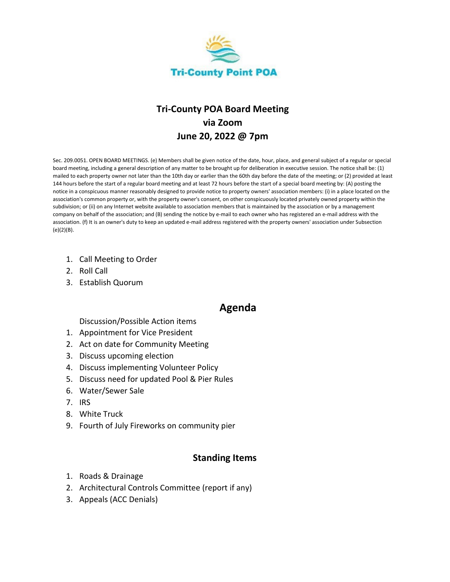

# **Tri-County POA Board Meeting via Zoom June 20, 2022 @ 7pm**

Sec. 209.0051. OPEN BOARD MEETINGS. (e) Members shall be given notice of the date, hour, place, and general subject of a regular or special board meeting, including a general description of any matter to be brought up for deliberation in executive session. The notice shall be: (1) mailed to each property owner not later than the 10th day or earlier than the 60th day before the date of the meeting; or (2) provided at least 144 hours before the start of a regular board meeting and at least 72 hours before the start of a special board meeting by: (A) posting the notice in a conspicuous manner reasonably designed to provide notice to property owners' association members: (i) in a place located on the association's common property or, with the property owner's consent, on other conspicuously located privately owned property within the subdivision; or (ii) on any Internet website available to association members that is maintained by the association or by a management company on behalf of the association; and (B) sending the notice by e-mail to each owner who has registered an e-mail address with the association. (f) It is an owner's duty to keep an updated e-mail address registered with the property owners' association under Subsection (e)(2)(B).

- 1. Call Meeting to Order
- 2. Roll Call
- 3. Establish Quorum

### **Agenda**

#### Discussion/Possible Action items

- 1. Appointment for Vice President
- 2. Act on date for Community Meeting
- 3. Discuss upcoming election
- 4. Discuss implementing Volunteer Policy
- 5. Discuss need for updated Pool & Pier Rules
- 6. Water/Sewer Sale
- 7. IRS
- 8. White Truck
- 9. Fourth of July Fireworks on community pier

#### **Standing Items**

- 1. Roads & Drainage
- 2. Architectural Controls Committee (report if any)
- 3. Appeals (ACC Denials)